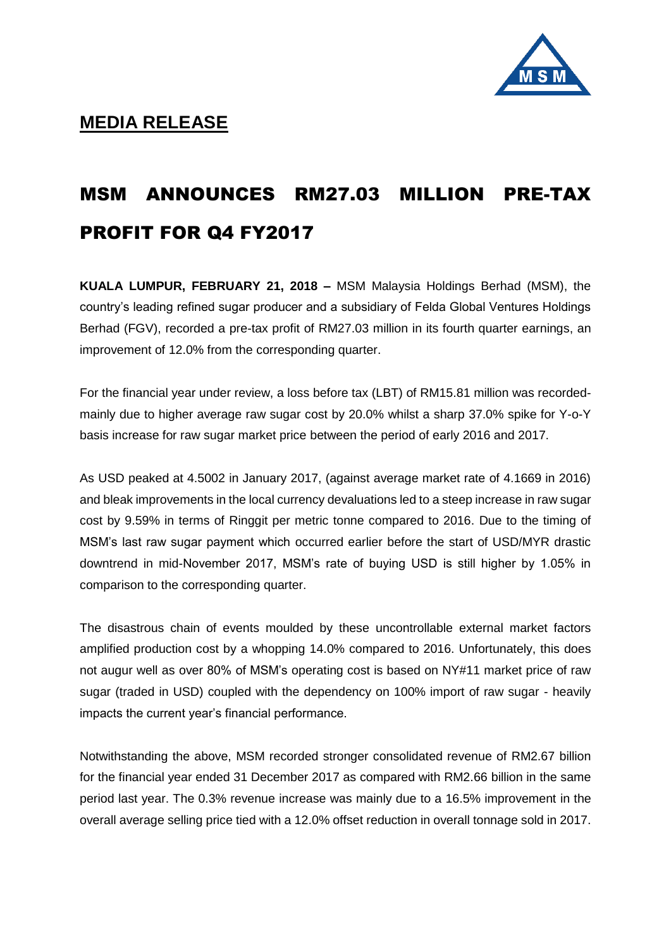

## MSM ANNOUNCES RM27.03 MILLION PRE-TAX PROFIT FOR Q4 FY2017

**KUALA LUMPUR, FEBRUARY 21, 2018 –** MSM Malaysia Holdings Berhad (MSM), the country's leading refined sugar producer and a subsidiary of Felda Global Ventures Holdings Berhad (FGV), recorded a pre-tax profit of RM27.03 million in its fourth quarter earnings, an improvement of 12.0% from the corresponding quarter.

For the financial year under review, a loss before tax (LBT) of RM15.81 million was recordedmainly due to higher average raw sugar cost by 20.0% whilst a sharp 37.0% spike for Y-o-Y basis increase for raw sugar market price between the period of early 2016 and 2017.

As USD peaked at 4.5002 in January 2017, (against average market rate of 4.1669 in 2016) and bleak improvements in the local currency devaluations led to a steep increase in raw sugar cost by 9.59% in terms of Ringgit per metric tonne compared to 2016. Due to the timing of MSM's last raw sugar payment which occurred earlier before the start of USD/MYR drastic downtrend in mid-November 2017, MSM's rate of buying USD is still higher by 1.05% in comparison to the corresponding quarter.

The disastrous chain of events moulded by these uncontrollable external market factors amplified production cost by a whopping 14.0% compared to 2016. Unfortunately, this does not augur well as over 80% of MSM's operating cost is based on NY#11 market price of raw sugar (traded in USD) coupled with the dependency on 100% import of raw sugar - heavily impacts the current year's financial performance.

Notwithstanding the above, MSM recorded stronger consolidated revenue of RM2.67 billion for the financial year ended 31 December 2017 as compared with RM2.66 billion in the same period last year. The 0.3% revenue increase was mainly due to a 16.5% improvement in the overall average selling price tied with a 12.0% offset reduction in overall tonnage sold in 2017.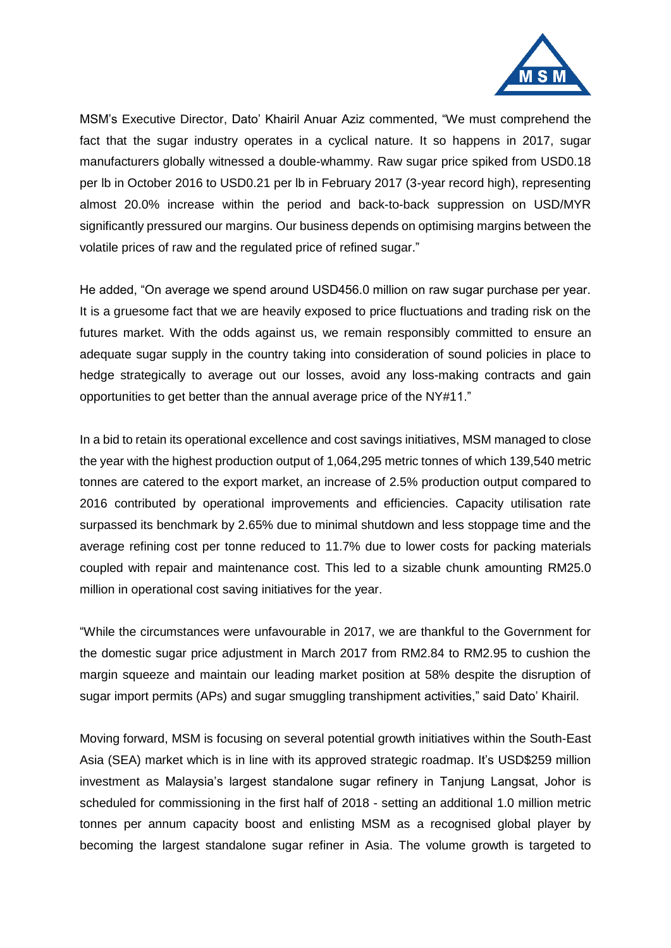

MSM's Executive Director, Dato' Khairil Anuar Aziz commented, "We must comprehend the fact that the sugar industry operates in a cyclical nature. It so happens in 2017, sugar manufacturers globally witnessed a double-whammy. Raw sugar price spiked from USD0.18 per lb in October 2016 to USD0.21 per lb in February 2017 (3-year record high), representing almost 20.0% increase within the period and back-to-back suppression on USD/MYR significantly pressured our margins. Our business depends on optimising margins between the volatile prices of raw and the regulated price of refined sugar."

He added, "On average we spend around USD456.0 million on raw sugar purchase per year. It is a gruesome fact that we are heavily exposed to price fluctuations and trading risk on the futures market. With the odds against us, we remain responsibly committed to ensure an adequate sugar supply in the country taking into consideration of sound policies in place to hedge strategically to average out our losses, avoid any loss-making contracts and gain opportunities to get better than the annual average price of the NY#11."

In a bid to retain its operational excellence and cost savings initiatives, MSM managed to close the year with the highest production output of 1,064,295 metric tonnes of which 139,540 metric tonnes are catered to the export market, an increase of 2.5% production output compared to 2016 contributed by operational improvements and efficiencies. Capacity utilisation rate surpassed its benchmark by 2.65% due to minimal shutdown and less stoppage time and the average refining cost per tonne reduced to 11.7% due to lower costs for packing materials coupled with repair and maintenance cost. This led to a sizable chunk amounting RM25.0 million in operational cost saving initiatives for the year.

"While the circumstances were unfavourable in 2017, we are thankful to the Government for the domestic sugar price adjustment in March 2017 from RM2.84 to RM2.95 to cushion the margin squeeze and maintain our leading market position at 58% despite the disruption of sugar import permits (APs) and sugar smuggling transhipment activities," said Dato' Khairil.

Moving forward, MSM is focusing on several potential growth initiatives within the South-East Asia (SEA) market which is in line with its approved strategic roadmap. It's USD\$259 million investment as Malaysia's largest standalone sugar refinery in Tanjung Langsat, Johor is scheduled for commissioning in the first half of 2018 - setting an additional 1.0 million metric tonnes per annum capacity boost and enlisting MSM as a recognised global player by becoming the largest standalone sugar refiner in Asia. The volume growth is targeted to